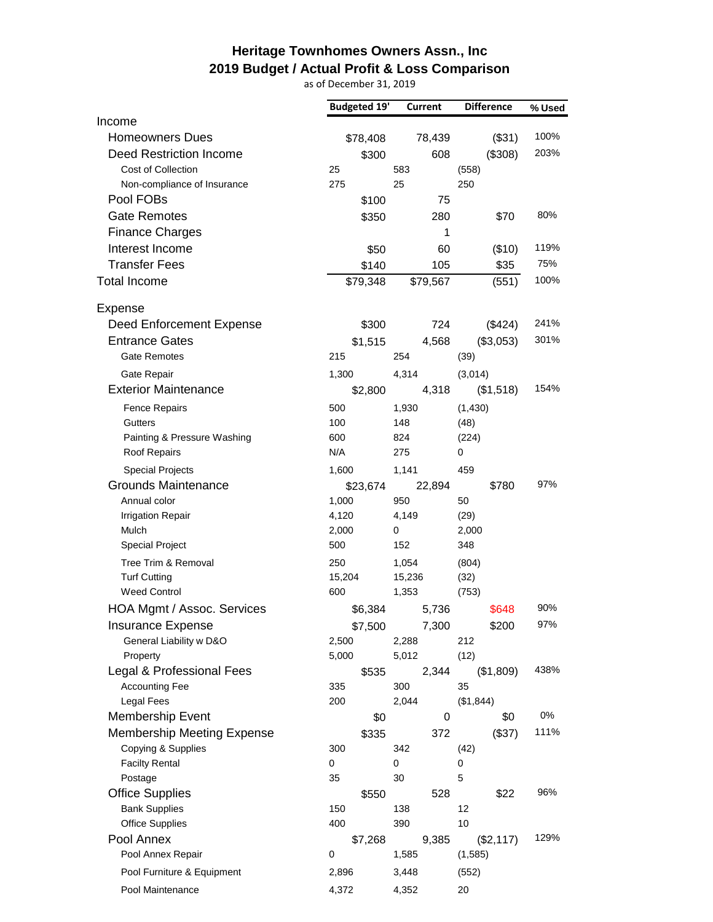## **Heritage Townhomes Owners Assn., Inc 2019 Budget / Actual Profit & Loss Comparison**

as of December 31, 2019

|                                   | <b>Budgeted 19'</b> | <b>Current</b> | <b>Difference</b> | % Used |
|-----------------------------------|---------------------|----------------|-------------------|--------|
| Income                            |                     |                |                   |        |
| <b>Homeowners Dues</b>            | \$78,408            | 78,439         | (\$31)            | 100%   |
| Deed Restriction Income           | \$300               | 608            | (\$308)           | 203%   |
| <b>Cost of Collection</b>         | 25                  | 583            | (558)             |        |
| Non-compliance of Insurance       | 275                 | 25             | 250               |        |
| Pool FOBs                         | \$100               | 75             |                   |        |
| <b>Gate Remotes</b>               | \$350               | 280            | \$70              | 80%    |
| <b>Finance Charges</b>            |                     | 1              |                   |        |
| Interest Income                   | \$50                | 60             | (\$10)            | 119%   |
| <b>Transfer Fees</b>              | \$140               | 105            | \$35              | 75%    |
| <b>Total Income</b>               | \$79,348            | \$79,567       | (551)             | 100%   |
| Expense                           |                     |                |                   |        |
| Deed Enforcement Expense          | \$300               | 724            | (\$424)           | 241%   |
| <b>Entrance Gates</b>             | \$1,515             | 4,568          | (\$3,053)         | 301%   |
| <b>Gate Remotes</b>               | 215                 | 254            | (39)              |        |
| Gate Repair                       | 1,300               | 4,314          | (3,014)           |        |
| <b>Exterior Maintenance</b>       | \$2,800             | 4,318          | (\$1,518)         | 154%   |
| <b>Fence Repairs</b>              | 500                 | 1,930          | (1, 430)          |        |
| <b>Gutters</b>                    | 100                 | 148            | (48)              |        |
| Painting & Pressure Washing       | 600                 | 824            | (224)             |        |
| Roof Repairs                      | N/A                 | 275            | 0                 |        |
| <b>Special Projects</b>           | 1,600               | 1,141          | 459               |        |
| Grounds Maintenance               | \$23,674            | 22,894         | \$780             | 97%    |
| Annual color                      | 1,000               | 950            | 50                |        |
| <b>Irrigation Repair</b>          | 4,120               | 4,149          | (29)              |        |
| Mulch                             | 2,000               | 0              | 2,000             |        |
| <b>Special Project</b>            | 500                 | 152            | 348               |        |
| Tree Trim & Removal               | 250                 | 1,054          | (804)             |        |
| <b>Turf Cutting</b>               | 15,204              | 15,236         | (32)              |        |
| <b>Weed Control</b>               | 600                 | 1,353          | (753)             |        |
| HOA Mgmt / Assoc. Services        | \$6,384             | 5,736          | \$648             | 90%    |
| Insurance Expense                 | \$7,500             | 7,300          | \$200             | 97%    |
| General Liability w D&O           | 2,500               | 2,288          | 212               |        |
| Property                          | 5,000               | 5,012          | (12)              |        |
| Legal & Professional Fees         | \$535               | 2,344          | (\$1,809)         | 438%   |
| <b>Accounting Fee</b>             | 335                 | 300            | 35                |        |
| <b>Legal Fees</b>                 | 200                 | 2,044          | (\$1,844)         |        |
| Membership Event                  | \$0                 | 0              | \$0               | 0%     |
| <b>Membership Meeting Expense</b> | \$335               | 372            | (\$37)            | 111%   |
| Copying & Supplies                | 300                 | 342            | (42)              |        |
| <b>Facilty Rental</b>             | 0                   | 0              | 0                 |        |
| Postage                           | 35                  | 30             | 5                 |        |
| <b>Office Supplies</b>            | \$550               | 528            | \$22              | 96%    |
| <b>Bank Supplies</b>              | 150                 | 138            | 12                |        |
| <b>Office Supplies</b>            | 400                 | 390            | 10                |        |
| Pool Annex                        | \$7,268             | 9,385          | (\$2,117)         | 129%   |
| Pool Annex Repair                 | 0                   | 1,585          | (1,585)           |        |
| Pool Furniture & Equipment        | 2,896               | 3,448          | (552)             |        |
| Pool Maintenance                  | 4,372               | 4,352          | 20                |        |